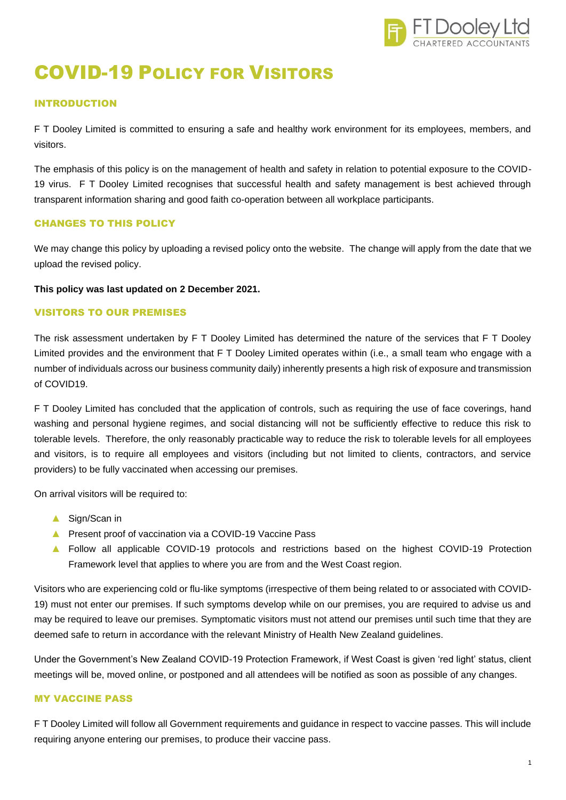

# COVID-19 POLICY FOR VISITORS

## INTRODUCTION

F T Dooley Limited is committed to ensuring a safe and healthy work environment for its employees, members, and visitors.

The emphasis of this policy is on the management of health and safety in relation to potential exposure to the COVID-19 virus. F T Dooley Limited recognises that successful health and safety management is best achieved through transparent information sharing and good faith co-operation between all workplace participants.

#### CHANGES TO THIS POLICY

We may change this policy by uploading a revised policy onto the website. The change will apply from the date that we upload the revised policy.

#### **This policy was last updated on 2 December 2021.**

#### VISITORS TO OUR PREMISES

The risk assessment undertaken by F T Dooley Limited has determined the nature of the services that F T Dooley Limited provides and the environment that F T Dooley Limited operates within (i.e., a small team who engage with a number of individuals across our business community daily) inherently presents a high risk of exposure and transmission of COVID19.

F T Dooley Limited has concluded that the application of controls, such as requiring the use of face coverings, hand washing and personal hygiene regimes, and social distancing will not be sufficiently effective to reduce this risk to tolerable levels. Therefore, the only reasonably practicable way to reduce the risk to tolerable levels for all employees and visitors, is to require all employees and visitors (including but not limited to clients, contractors, and service providers) to be fully vaccinated when accessing our premises.

On arrival visitors will be required to:

- ▲ Sign/Scan in
- ▲ Present proof of vaccination via a COVID-19 Vaccine Pass
- ▲ Follow all applicable COVID-19 protocols and restrictions based on the highest COVID-19 Protection Framework level that applies to where you are from and the West Coast region.

Visitors who are experiencing cold or flu-like symptoms (irrespective of them being related to or associated with COVID-19) must not enter our premises. If such symptoms develop while on our premises, you are required to advise us and may be required to leave our premises. Symptomatic visitors must not attend our premises until such time that they are deemed safe to return in accordance with the relevant Ministry of Health New Zealand guidelines.

Under the Government's New Zealand COVID-19 Protection Framework, if West Coast is given 'red light' status, client meetings will be, moved online, or postponed and all attendees will be notified as soon as possible of any changes.

## MY VACCINE PASS

F T Dooley Limited will follow all Government requirements and guidance in respect to vaccine passes. This will include requiring anyone entering our premises, to produce their vaccine pass.